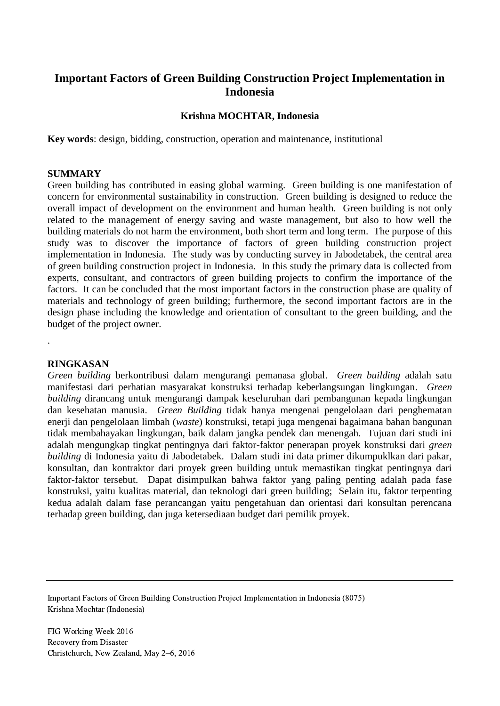# **Important Factors of Green Building Construction Project Implementation in Indonesia**

## **Krishna MOCHTAR, Indonesia**

**Key words**: design, bidding, construction, operation and maintenance, institutional

### **SUMMARY**

Green building has contributed in easing global warming. Green building is one manifestation of concern for environmental sustainability in construction. Green building is designed to reduce the overall impact of development on the environment and human health. Green building is not only related to the management of energy saving and waste management, but also to how well the building materials do not harm the environment, both short term and long term. The purpose of this study was to discover the importance of factors of green building construction project implementation in Indonesia. The study was by conducting survey in Jabodetabek, the central area of green building construction project in Indonesia. In this study the primary data is collected from experts, consultant, and contractors of green building projects to confirm the importance of the factors. It can be concluded that the most important factors in the construction phase are quality of materials and technology of green building; furthermore, the second important factors are in the design phase including the knowledge and orientation of consultant to the green building, and the budget of the project owner.

#### **RINGKASAN**

.

*Green building* berkontribusi dalam mengurangi pemanasa global. *Green building* adalah satu manifestasi dari perhatian masyarakat konstruksi terhadap keberlangsungan lingkungan. *Green building* dirancang untuk mengurangi dampak keseluruhan dari pembangunan kepada lingkungan dan kesehatan manusia. *Green Building* tidak hanya mengenai pengelolaan dari penghematan enerji dan pengelolaan limbah (*waste*) konstruksi, tetapi juga mengenai bagaimana bahan bangunan tidak membahayakan lingkungan, baik dalam jangka pendek dan menengah. Tujuan dari studi ini adalah mengungkap tingkat pentingnya dari faktor-faktor penerapan proyek konstruksi dari *green building* di Indonesia yaitu di Jabodetabek. Dalam studi ini data primer dikumpuklkan dari pakar, konsultan, dan kontraktor dari proyek green building untuk memastikan tingkat pentingnya dari faktor-faktor tersebut. Dapat disimpulkan bahwa faktor yang paling penting adalah pada fase konstruksi, yaitu kualitas material, dan teknologi dari green building; Selain itu, faktor terpenting kedua adalah dalam fase perancangan yaitu pengetahuan dan orientasi dari konsultan perencana terhadap green building, dan juga ketersediaan budget dari pemilik proyek.

Important Factors of Green Building Construction Project Implementation in Indonesia (8075) Krishna Mochtar (Indonesia)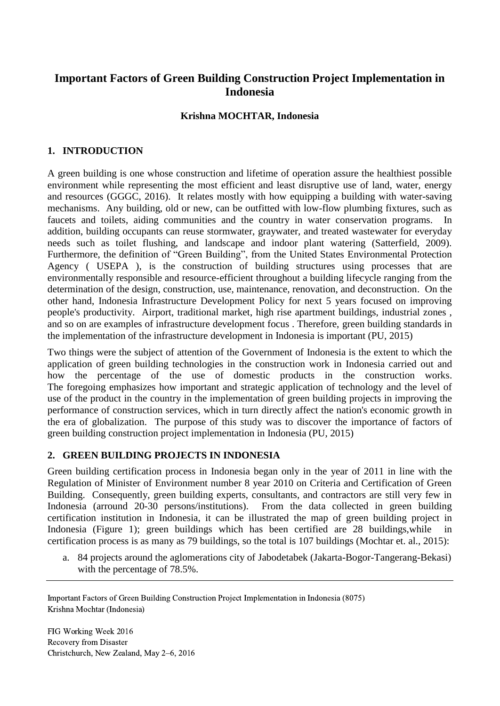# **Important Factors of Green Building Construction Project Implementation in Indonesia**

## **Krishna MOCHTAR, Indonesia**

## **1. INTRODUCTION**

A green building is one whose construction and lifetime of operation assure the healthiest possible environment while representing the most efficient and least disruptive use of land, water, energy and resources (GGGC, 2016). It relates mostly with how equipping a building with water-saving mechanisms. Any building, old or new, can be outfitted with low-flow plumbing fixtures, such as faucets and toilets, aiding communities and the country in water conservation programs. In addition, building occupants can reuse stormwater, graywater, and treated wastewater for everyday needs such as toilet flushing, and landscape and indoor plant watering (Satterfield, 2009). Furthermore, the definition of "Green Building", from the United States Environmental Protection Agency ( USEPA ), is the construction of building structures using processes that are environmentally responsible and resource-efficient throughout a building lifecycle ranging from the determination of the design, construction, use, maintenance, renovation, and deconstruction. On the other hand, Indonesia Infrastructure Development Policy for next 5 years focused on improving people's productivity. Airport, traditional market, high rise apartment buildings, industrial zones , and so on are examples of infrastructure development focus . Therefore, green building standards in the implementation of the infrastructure development in Indonesia is important (PU, 2015)

Two things were the subject of attention of the Government of Indonesia is the extent to which the application of green building technologies in the construction work in Indonesia carried out and how the percentage of the use of domestic products in the construction works. The foregoing emphasizes how important and strategic application of technology and the level of use of the product in the country in the implementation of green building projects in improving the performance of construction services, which in turn directly affect the nation's economic growth in the era of globalization. The purpose of this study was to discover the importance of factors of green building construction project implementation in Indonesia (PU, 2015)

## **2. GREEN BUILDING PROJECTS IN INDONESIA**

Green building certification process in Indonesia began only in the year of 2011 in line with the Regulation of Minister of Environment number 8 year 2010 on Criteria and Certification of Green Building. Consequently, green building experts, consultants, and contractors are still very few in Indonesia (arround 20-30 persons/institutions). From the data collected in green building certification institution in Indonesia, it can be illustrated the map of green building project in Indonesia (Figure 1); green buildings which has been certified are 28 buildings, while certification process is as many as 79 buildings, so the total is 107 buildings (Mochtar et. al., 2015):

a. 84 projects around the aglomerations city of Jabodetabek (Jakarta-Bogor-Tangerang-Bekasi) with the percentage of 78.5%.

Important Factors of Green Building Construction Project Implementation in Indonesia (8075) Krishna Mochtar (Indonesia)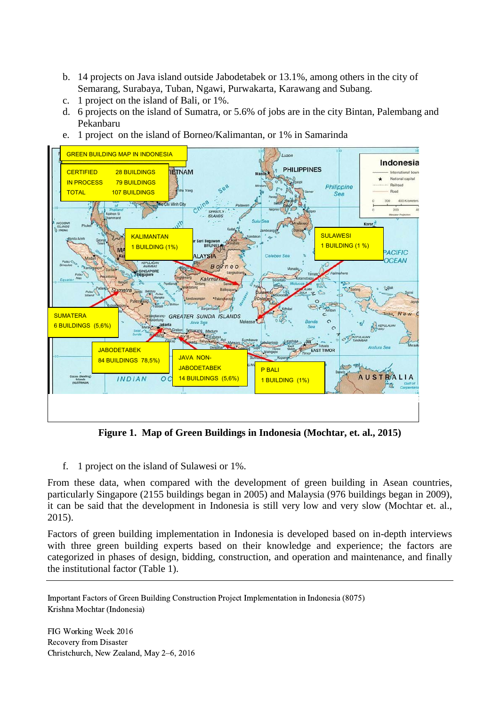- b. 14 projects on Java island outside Jabodetabek or 13.1%, among others in the city of Semarang, Surabaya, Tuban, Ngawi, Purwakarta, Karawang and Subang.
- c. 1 project on the island of Bali, or 1%.
- d. 6 projects on the island of Sumatra, or 5.6% of jobs are in the city Bintan, Palembang and Pekanbaru
- e. 1 project on the island of Borneo/Kalimantan, or 1% in Samarinda



**Figure 1. Map of Green Buildings in Indonesia (Mochtar, et. al., 2015)**

f. 1 project on the island of Sulawesi or 1%.

From these data, when compared with the development of green building in Asean countries, particularly Singapore (2155 buildings began in 2005) and Malaysia (976 buildings began in 2009), it can be said that the development in Indonesia is still very low and very slow (Mochtar et. al., 2015).

Factors of green building implementation in Indonesia is developed based on in-depth interviews with three green building experts based on their knowledge and experience; the factors are categorized in phases of design, bidding, construction, and operation and maintenance, and finally the institutional factor (Table 1).

Important Factors of Green Building Construction Project Implementation in Indonesia (8075) Krishna Mochtar (Indonesia)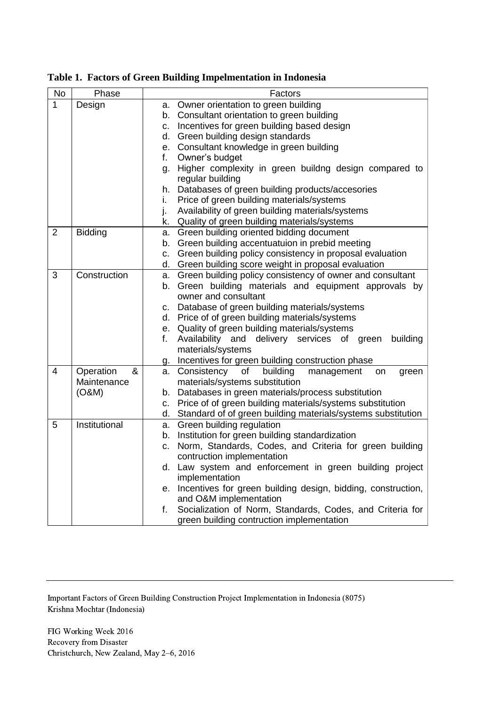| No             | Phase          | Factors                                                                                                                 |
|----------------|----------------|-------------------------------------------------------------------------------------------------------------------------|
| $\mathbf{1}$   | Design         | Owner orientation to green building<br>а.                                                                               |
|                |                | Consultant orientation to green building<br>b.                                                                          |
|                |                | Incentives for green building based design<br>C.                                                                        |
|                |                | d. Green building design standards                                                                                      |
|                |                | e. Consultant knowledge in green building                                                                               |
|                |                | Owner's budget<br>f.                                                                                                    |
|                |                | Higher complexity in green buildng design compared to<br>g.                                                             |
|                |                | regular building                                                                                                        |
|                |                | Databases of green building products/accesories<br>h.                                                                   |
|                |                | Price of green building materials/systems<br>i.                                                                         |
|                |                | Availability of green building materials/systems<br>j.                                                                  |
|                |                | k. Quality of green building materials/systems                                                                          |
| $\overline{2}$ | <b>Bidding</b> | Green building oriented bidding document<br>a.                                                                          |
|                |                | b. Green building accentuatuion in prebid meeting                                                                       |
|                |                | Green building policy consistency in proposal evaluation<br>C.                                                          |
|                |                | d. Green building score weight in proposal evaluation                                                                   |
| 3              | Construction   | Green building policy consistency of owner and consultant<br>а.                                                         |
|                |                | b. Green building materials and equipment approvals by                                                                  |
|                |                | owner and consultant                                                                                                    |
|                |                | Database of green building materials/systems<br>C.                                                                      |
|                |                | d. Price of of green building materials/systems                                                                         |
|                |                | e. Quality of green building materials/systems<br>f.                                                                    |
|                |                | Availability and delivery services of green<br>building<br>materials/systems                                            |
|                |                |                                                                                                                         |
| 4              | Operation<br>& | Incentives for green building construction phase<br>g.<br>Consistency<br>of building<br>management<br>a.<br>on<br>green |
|                | Maintenance    | materials/systems substitution                                                                                          |
|                | (O&M)          | Databases in green materials/process substitution<br>b.                                                                 |
|                |                | Price of of green building materials/systems substitution<br>C.                                                         |
|                |                | d. Standard of of green building materials/systems substitution                                                         |
| 5              | Institutional  | a. Green building regulation                                                                                            |
|                |                | b. Institution for green building standardization                                                                       |
|                |                | Norm, Standards, Codes, and Criteria for green building<br>C.                                                           |
|                |                | contruction implementation                                                                                              |
|                |                | d. Law system and enforcement in green building project                                                                 |
|                |                | implementation                                                                                                          |
|                |                | Incentives for green building design, bidding, construction,<br>е.                                                      |
|                |                | and O&M implementation                                                                                                  |
|                |                | Socialization of Norm, Standards, Codes, and Criteria for<br>f.                                                         |
|                |                | green building contruction implementation                                                                               |

**Table 1. Factors of Green Building Impelmentation in Indonesia**

Important Factors of Green Building Construction Project Implementation in Indonesia (8075) Krishna Mochtar (Indonesia)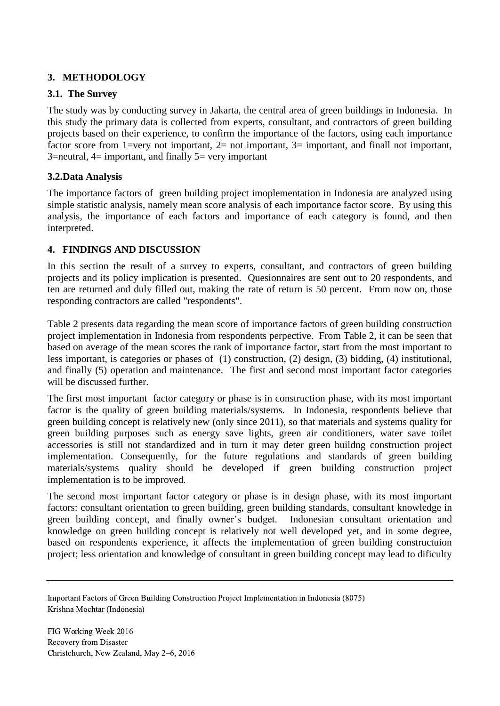## **3. METHODOLOGY**

## **3.1. The Survey**

The study was by conducting survey in Jakarta, the central area of green buildings in Indonesia. In this study the primary data is collected from experts, consultant, and contractors of green building projects based on their experience, to confirm the importance of the factors, using each importance factor score from 1=very not important,  $2=$  not important,  $3=$  important, and finall not important,  $3$ =neutral,  $4$ = important, and finally  $5$ = very important

## **3.2.Data Analysis**

The importance factors of green building project imoplementation in Indonesia are analyzed using simple statistic analysis, namely mean score analysis of each importance factor score. By using this analysis, the importance of each factors and importance of each category is found, and then interpreted.

## **4. FINDINGS AND DISCUSSION**

In this section the result of a survey to experts, consultant, and contractors of green building projects and its policy implication is presented. Quesionnaires are sent out to 20 respondents, and ten are returned and duly filled out, making the rate of return is 50 percent. From now on, those responding contractors are called "respondents".

Table 2 presents data regarding the mean score of importance factors of green building construction project implementation in Indonesia from respondents perpective. From Table 2, it can be seen that based on average of the mean scores the rank of importance factor, start from the most important to less important, is categories or phases of (1) construction, (2) design, (3) bidding, (4) institutional, and finally (5) operation and maintenance. The first and second most important factor categories will be discussed further.

The first most important factor category or phase is in construction phase, with its most important factor is the quality of green building materials/systems. In Indonesia, respondents believe that green building concept is relatively new (only since 2011), so that materials and systems quality for green building purposes such as energy save lights, green air conditioners, water save toilet accessories is still not standardized and in turn it may deter green buildng construction project implementation. Consequently, for the future regulations and standards of green building materials/systems quality should be developed if green building construction project implementation is to be improved.

The second most important factor category or phase is in design phase, with its most important factors: consultant orientation to green building, green building standards, consultant knowledge in green building concept, and finally owner's budget. Indonesian consultant orientation and knowledge on green building concept is relatively not well developed yet, and in some degree, based on respondents experience, it affects the implementation of green building constructuion project; less orientation and knowledge of consultant in green building concept may lead to dificulty

Important Factors of Green Building Construction Project Implementation in Indonesia (8075) Krishna Mochtar (Indonesia)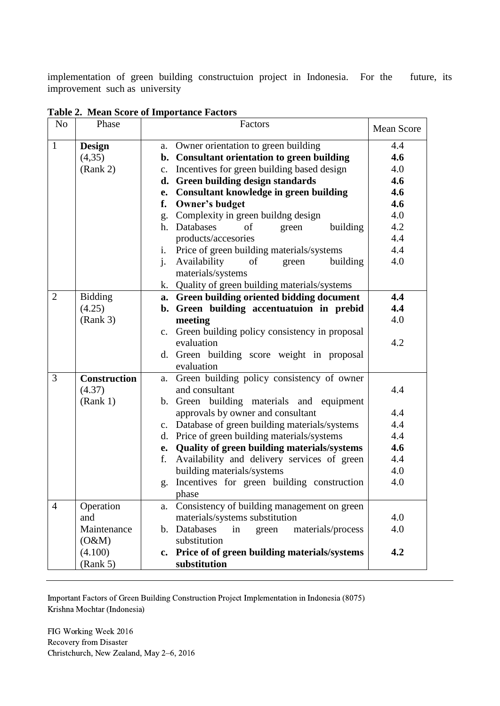implementation of green building constructuion project in Indonesia. For the future, its improvement such as university

| N <sub>o</sub> | Phase               |                | Factors                                          | <b>Mean Score</b> |
|----------------|---------------------|----------------|--------------------------------------------------|-------------------|
| $\mathbf{1}$   | <b>Design</b>       |                | a. Owner orientation to green building           | 4.4               |
|                | (4,35)              |                | b. Consultant orientation to green building      | 4.6               |
|                | (Rank 2)            |                | c. Incentives for green building based design    | 4.0               |
|                |                     | d.             | Green building design standards                  | 4.6               |
|                |                     | e.             | <b>Consultant knowledge in green building</b>    | 4.6               |
|                |                     | f.             | Owner's budget                                   | 4.6               |
|                |                     | g.             | Complexity in green buildng design               | 4.0               |
|                |                     |                | h. Databases<br>of<br>building<br>green          | 4.2               |
|                |                     |                | products/accesories                              | 4.4               |
|                |                     | $\mathbf{i}$ . | Price of green building materials/systems        | 4.4               |
|                |                     | $\mathbf{i}$ . | Availability<br>of<br>building<br>green          | 4.0               |
|                |                     |                | materials/systems                                |                   |
|                |                     |                | k. Quality of green building materials/systems   |                   |
| $\overline{2}$ | <b>Bidding</b>      |                | a. Green building oriented bidding document      | 4.4               |
|                | (4.25)              |                | b. Green building accentuatuion in prebid        | 4.4               |
|                | (Rank 3)            |                | meeting                                          | 4.0               |
|                |                     |                | c. Green building policy consistency in proposal |                   |
|                |                     |                | evaluation                                       | 4.2               |
|                |                     |                | d. Green building score weight in proposal       |                   |
|                |                     |                | evaluation                                       |                   |
| 3              | <b>Construction</b> | a.             | Green building policy consistency of owner       |                   |
|                | (4.37)              |                | and consultant                                   | 4.4               |
|                | (Rank 1)            |                | b. Green building materials and equipment        |                   |
|                |                     |                | approvals by owner and consultant                | 4.4               |
|                |                     | $\mathbf{c}$ . | Database of green building materials/systems     | 4.4               |
|                |                     |                | d. Price of green building materials/systems     | 4.4               |
|                |                     |                | e. Quality of green building materials/systems   | 4.6               |
|                |                     | f.             | Availability and delivery services of green      | 4.4               |
|                |                     |                | building materials/systems                       | 4.0               |
|                |                     | g.             | Incentives for green building construction       | 4.0               |
|                |                     |                | phase                                            |                   |
| $\overline{4}$ | Operation           | a.             | Consistency of building management on green      |                   |
|                | and                 |                | materials/systems substitution                   | 4.0               |
|                | Maintenance         |                | b. Databases<br>materials/process<br>in<br>green | 4.0               |
|                | (O&M)               |                | substitution                                     |                   |
|                | (4.100)             | $c_{\bullet}$  | Price of of green building materials/systems     | 4.2               |
|                | (Rank 5)            |                | substitution                                     |                   |

**Table 2. Mean Score of Importance Factors**

Important Factors of Green Building Construction Project Implementation in Indonesia (8075) Krishna Mochtar (Indonesia)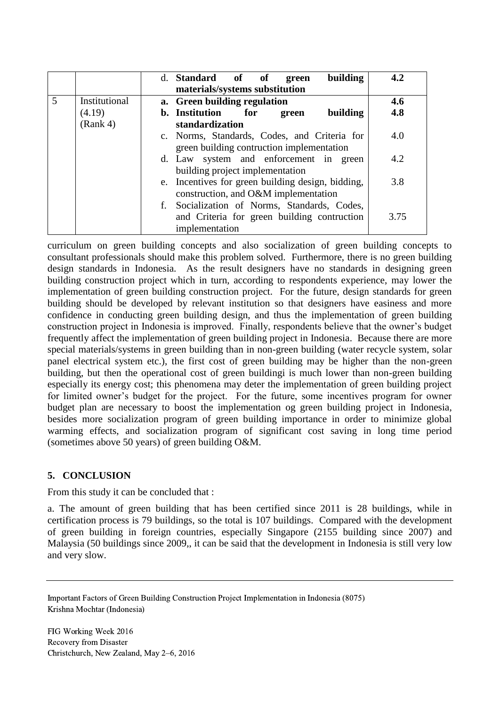|   |               | building<br>d. Standard of of<br>green<br>materials/systems substitution                                      | 4.2  |
|---|---------------|---------------------------------------------------------------------------------------------------------------|------|
| 5 | Institutional | a. Green building regulation                                                                                  | 4.6  |
|   | (4.19)        | <b>b.</b> Institution<br>for<br>building<br>green                                                             | 4.8  |
|   | (Rank 4)      | standardization                                                                                               |      |
|   |               | c. Norms, Standards, Codes, and Criteria for<br>green building contruction implementation                     | 4.0  |
|   |               | d. Law system and enforcement in green<br>building project implementation                                     | 4.2  |
|   |               | e. Incentives for green building design, bidding,<br>construction, and O&M implementation                     | 3.8  |
|   |               | f. Socialization of Norms, Standards, Codes,<br>and Criteria for green building contruction<br>implementation | 3.75 |

curriculum on green building concepts and also socialization of green building concepts to consultant professionals should make this problem solved. Furthermore, there is no green building design standards in Indonesia. As the result designers have no standards in designing green building construction project which in turn, according to respondents experience, may lower the implementation of green building construction project. For the future, design standards for green building should be developed by relevant institution so that designers have easiness and more confidence in conducting green building design, and thus the implementation of green building construction project in Indonesia is improved. Finally, respondents believe that the owner's budget frequently affect the implementation of green building project in Indonesia. Because there are more special materials/systems in green building than in non-green building (water recycle system, solar panel electrical system etc.), the first cost of green building may be higher than the non-green building, but then the operational cost of green buildingi is much lower than non-green building especially its energy cost; this phenomena may deter the implementation of green building project for limited owner's budget for the project. For the future, some incentives program for owner budget plan are necessary to boost the implementation og green building project in Indonesia, besides more socialization program of green building importance in order to minimize global warming effects, and socialization program of significant cost saving in long time period (sometimes above 50 years) of green building O&M.

## **5. CONCLUSION**

From this study it can be concluded that :

a. The amount of green building that has been certified since 2011 is 28 buildings, while in certification process is 79 buildings, so the total is 107 buildings. Compared with the development of green building in foreign countries, especially Singapore (2155 building since 2007) and Malaysia (50 buildings since 2009,, it can be said that the development in Indonesia is still very low and very slow.

Important Factors of Green Building Construction Project Implementation in Indonesia (8075) Krishna Mochtar (Indonesia)